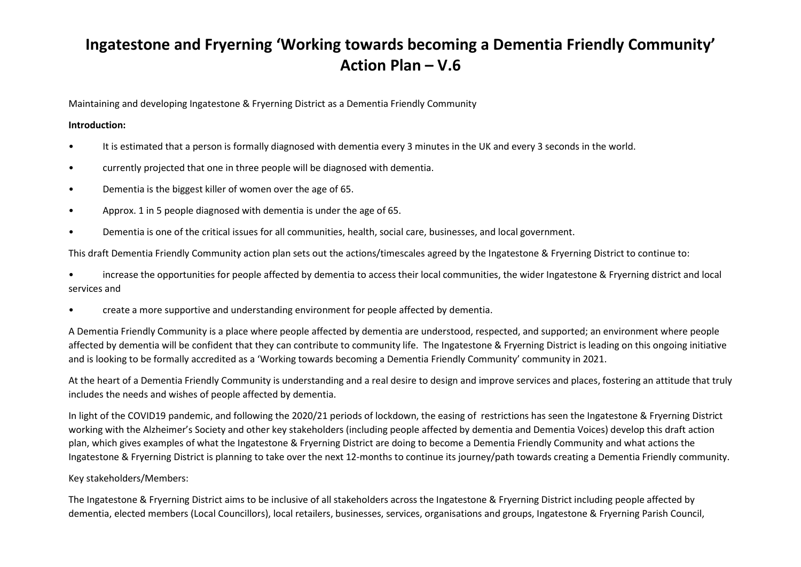## Ingatestone and Fryerning 'Working towards becoming a Dementia Friendly Community' Action Plan – V.6

Maintaining and developing Ingatestone & Fryerning District as a Dementia Friendly Community

## Introduction:

- It is estimated that a person is formally diagnosed with dementia every 3 minutes in the UK and every 3 seconds in the world.
- currently projected that one in three people will be diagnosed with dementia.
- Dementia is the biggest killer of women over the age of 65.
- Approx. 1 in 5 people diagnosed with dementia is under the age of 65.
- Dementia is one of the critical issues for all communities, health, social care, businesses, and local government.

This draft Dementia Friendly Community action plan sets out the actions/timescales agreed by the Ingatestone & Fryerning District to continue to:

• increase the opportunities for people affected by dementia to access their local communities, the wider Ingatestone & Fryerning district and local services and

• create a more supportive and understanding environment for people affected by dementia.

A Dementia Friendly Community is a place where people affected by dementia are understood, respected, and supported; an environment where people affected by dementia will be confident that they can contribute to community life. The Ingatestone & Fryerning District is leading on this ongoing initiative and is looking to be formally accredited as a 'Working towards becoming a Dementia Friendly Community' community in 2021.

At the heart of a Dementia Friendly Community is understanding and a real desire to design and improve services and places, fostering an attitude that truly includes the needs and wishes of people affected by dementia.

In light of the COVID19 pandemic, and following the 2020/21 periods of lockdown, the easing of restrictions has seen the Ingatestone & Fryerning District working with the Alzheimer's Society and other key stakeholders (including people affected by dementia and Dementia Voices) develop this draft action plan, which gives examples of what the Ingatestone & Fryerning District are doing to become a Dementia Friendly Community and what actions the Ingatestone & Fryerning District is planning to take over the next 12-months to continue its journey/path towards creating a Dementia Friendly community.

## Key stakeholders/Members:

The Ingatestone & Fryerning District aims to be inclusive of all stakeholders across the Ingatestone & Fryerning District including people affected by dementia, elected members (Local Councillors), local retailers, businesses, services, organisations and groups, Ingatestone & Fryerning Parish Council,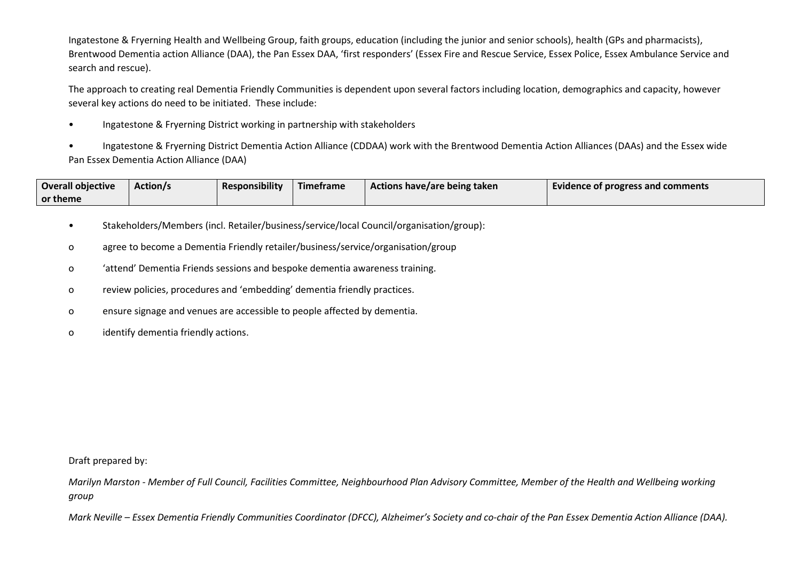Ingatestone & Fryerning Health and Wellbeing Group, faith groups, education (including the junior and senior schools), health (GPs and pharmacists), Brentwood Dementia action Alliance (DAA), the Pan Essex DAA, 'first responders' (Essex Fire and Rescue Service, Essex Police, Essex Ambulance Service and search and rescue).

The approach to creating real Dementia Friendly Communities is dependent upon several factors including location, demographics and capacity, however several key actions do need to be initiated. These include:

• Ingatestone & Fryerning District working in partnership with stakeholders

• Ingatestone & Fryerning District Dementia Action Alliance (CDDAA) work with the Brentwood Dementia Action Alliances (DAAs) and the Essex wide Pan Essex Dementia Action Alliance (DAA)

| <b>Overall objective</b> | <b>Action/s</b> | <b>Responsibility</b> | Timetrame | Actions have/are being taken | Evidence of progress and comments |
|--------------------------|-----------------|-----------------------|-----------|------------------------------|-----------------------------------|
| or theme                 |                 |                       |           |                              |                                   |

- Stakeholders/Members (incl. Retailer/business/service/local Council/organisation/group):
- o agree to become a Dementia Friendly retailer/business/service/organisation/group
- o 'attend' Dementia Friends sessions and bespoke dementia awareness training.
- o review policies, procedures and 'embedding' dementia friendly practices.
- o ensure signage and venues are accessible to people affected by dementia.
- o identify dementia friendly actions.

Draft prepared by:

Marilyn Marston - Member of Full Council, Facilities Committee, Neighbourhood Plan Advisory Committee, Member of the Health and Wellbeing working group

Mark Neville – Essex Dementia Friendly Communities Coordinator (DFCC), Alzheimer's Society and co-chair of the Pan Essex Dementia Action Alliance (DAA).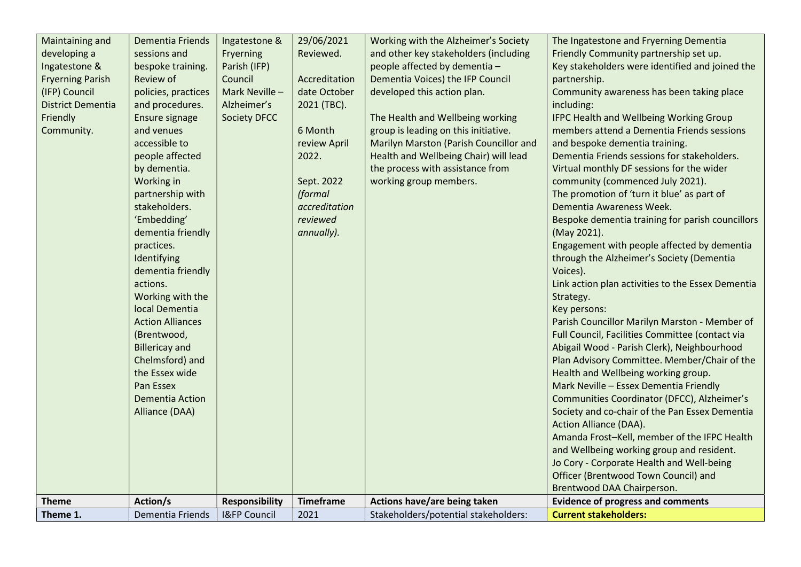| Theme 1.                                 | Dementia Friends                         | <b>I&amp;FP Council</b>  | 2021                          | Stakeholders/potential stakeholders:                            | <b>Current stakeholders:</b>                                                                                                                                 |
|------------------------------------------|------------------------------------------|--------------------------|-------------------------------|-----------------------------------------------------------------|--------------------------------------------------------------------------------------------------------------------------------------------------------------|
| <b>Theme</b>                             | Action/s                                 | Responsibility           | <b>Timeframe</b>              | Actions have/are being taken                                    | <b>Evidence of progress and comments</b>                                                                                                                     |
|                                          |                                          |                          |                               |                                                                 | and Wellbeing working group and resident.<br>Jo Cory - Corporate Health and Well-being<br>Officer (Brentwood Town Council) and<br>Brentwood DAA Chairperson. |
|                                          |                                          |                          |                               |                                                                 | Amanda Frost-Kell, member of the IFPC Health                                                                                                                 |
|                                          | Alliance (DAA)                           |                          |                               |                                                                 | Society and co-chair of the Pan Essex Dementia<br>Action Alliance (DAA).                                                                                     |
|                                          | <b>Dementia Action</b>                   |                          |                               |                                                                 | Communities Coordinator (DFCC), Alzheimer's                                                                                                                  |
|                                          | Pan Essex                                |                          |                               |                                                                 | Mark Neville - Essex Dementia Friendly                                                                                                                       |
|                                          | the Essex wide                           |                          |                               |                                                                 | Health and Wellbeing working group.                                                                                                                          |
|                                          | <b>Billericay and</b><br>Chelmsford) and |                          |                               |                                                                 | Abigail Wood - Parish Clerk), Neighbourhood<br>Plan Advisory Committee. Member/Chair of the                                                                  |
|                                          | (Brentwood,                              |                          |                               |                                                                 | Full Council, Facilities Committee (contact via                                                                                                              |
|                                          | <b>Action Alliances</b>                  |                          |                               |                                                                 | Parish Councillor Marilyn Marston - Member of                                                                                                                |
|                                          | Working with the<br>local Dementia       |                          |                               |                                                                 | Strategy.<br>Key persons:                                                                                                                                    |
|                                          | actions.                                 |                          |                               |                                                                 | Link action plan activities to the Essex Dementia                                                                                                            |
|                                          | dementia friendly                        |                          |                               |                                                                 | Voices).                                                                                                                                                     |
|                                          | Identifying                              |                          |                               |                                                                 | through the Alzheimer's Society (Dementia                                                                                                                    |
|                                          | dementia friendly<br>practices.          |                          | annually).                    |                                                                 | (May 2021).<br>Engagement with people affected by dementia                                                                                                   |
|                                          | 'Embedding'                              |                          | reviewed                      |                                                                 | Bespoke dementia training for parish councillors                                                                                                             |
|                                          | stakeholders.                            |                          | accreditation                 |                                                                 | Dementia Awareness Week.                                                                                                                                     |
|                                          | partnership with                         |                          | (formal                       |                                                                 | The promotion of 'turn it blue' as part of                                                                                                                   |
|                                          | by dementia.<br>Working in               |                          | Sept. 2022                    | the process with assistance from<br>working group members.      | Virtual monthly DF sessions for the wider<br>community (commenced July 2021).                                                                                |
|                                          | people affected                          |                          | 2022.                         | Health and Wellbeing Chair) will lead                           | Dementia Friends sessions for stakeholders.                                                                                                                  |
|                                          | accessible to                            |                          | review April                  | Marilyn Marston (Parish Councillor and                          | and bespoke dementia training.                                                                                                                               |
| Community.                               | and venues                               |                          | 6 Month                       | group is leading on this initiative.                            | members attend a Dementia Friends sessions                                                                                                                   |
| Friendly                                 | Ensure signage                           | Society DFCC             |                               | The Health and Wellbeing working                                | IFPC Health and Wellbeing Working Group                                                                                                                      |
| <b>District Dementia</b>                 | policies, practices<br>and procedures.   | Alzheimer's              | 2021 (TBC).                   |                                                                 | Community awareness has been taking place<br>including:                                                                                                      |
| <b>Fryerning Parish</b><br>(IFP) Council | Review of                                | Council<br>Mark Neville- | Accreditation<br>date October | Dementia Voices) the IFP Council<br>developed this action plan. | partnership.                                                                                                                                                 |
| Ingatestone &                            | bespoke training.                        | Parish (IFP)             |                               | people affected by dementia -                                   | Key stakeholders were identified and joined the                                                                                                              |
| developing a                             | sessions and                             | Fryerning                | Reviewed.                     | and other key stakeholders (including                           | Friendly Community partnership set up.                                                                                                                       |
| Maintaining and                          | <b>Dementia Friends</b>                  | Ingatestone &            | 29/06/2021                    | Working with the Alzheimer's Society                            | The Ingatestone and Fryerning Dementia                                                                                                                       |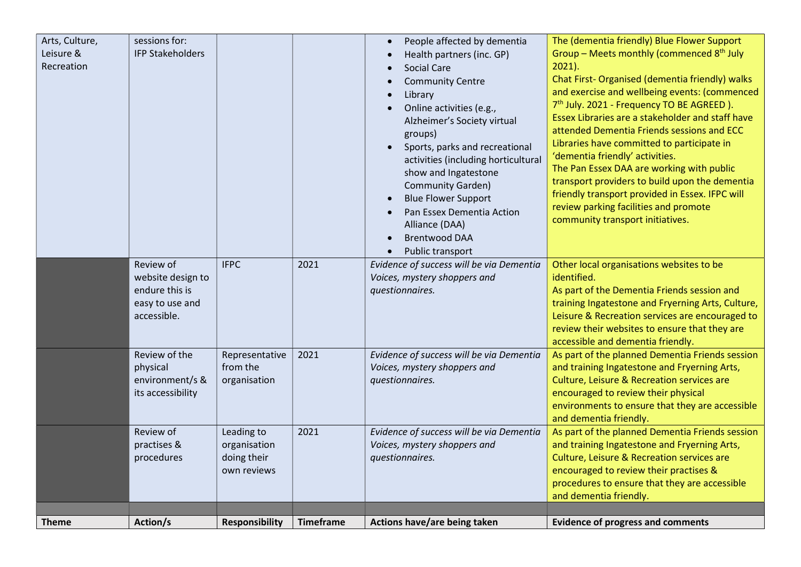| Arts, Culture,<br>Leisure &<br>Recreation | sessions for:<br><b>IFP Stakeholders</b>                                           |                                                          |                  | People affected by dementia<br>Health partners (inc. GP)<br><b>Social Care</b><br><b>Community Centre</b><br>Library<br>Online activities (e.g.,<br>Alzheimer's Society virtual<br>groups)<br>Sports, parks and recreational<br>activities (including horticultural<br>show and Ingatestone<br>Community Garden)<br><b>Blue Flower Support</b><br>Pan Essex Dementia Action<br>Alliance (DAA)<br><b>Brentwood DAA</b><br>Public transport | The (dementia friendly) Blue Flower Support<br>Group - Meets monthly (commenced 8 <sup>th</sup> July<br>$2021$ ).<br>Chat First-Organised (dementia friendly) walks<br>and exercise and wellbeing events: (commenced<br>7 <sup>th</sup> July. 2021 - Frequency TO BE AGREED).<br>Essex Libraries are a stakeholder and staff have<br>attended Dementia Friends sessions and ECC<br>Libraries have committed to participate in<br>'dementia friendly' activities.<br>The Pan Essex DAA are working with public<br>transport providers to build upon the dementia<br>friendly transport provided in Essex. IFPC will<br>review parking facilities and promote<br>community transport initiatives. |
|-------------------------------------------|------------------------------------------------------------------------------------|----------------------------------------------------------|------------------|-------------------------------------------------------------------------------------------------------------------------------------------------------------------------------------------------------------------------------------------------------------------------------------------------------------------------------------------------------------------------------------------------------------------------------------------|-------------------------------------------------------------------------------------------------------------------------------------------------------------------------------------------------------------------------------------------------------------------------------------------------------------------------------------------------------------------------------------------------------------------------------------------------------------------------------------------------------------------------------------------------------------------------------------------------------------------------------------------------------------------------------------------------|
|                                           | Review of<br>website design to<br>endure this is<br>easy to use and<br>accessible. | <b>IFPC</b>                                              | 2021             | Evidence of success will be via Dementia<br>Voices, mystery shoppers and<br>questionnaires.                                                                                                                                                                                                                                                                                                                                               | Other local organisations websites to be<br>identified.<br>As part of the Dementia Friends session and<br>training Ingatestone and Fryerning Arts, Culture,<br>Leisure & Recreation services are encouraged to<br>review their websites to ensure that they are<br>accessible and dementia friendly.                                                                                                                                                                                                                                                                                                                                                                                            |
|                                           | Review of the<br>physical<br>environment/s &<br>its accessibility                  | Representative<br>from the<br>organisation               | 2021             | Evidence of success will be via Dementia<br>Voices, mystery shoppers and<br>questionnaires.                                                                                                                                                                                                                                                                                                                                               | As part of the planned Dementia Friends session<br>and training Ingatestone and Fryerning Arts,<br>Culture, Leisure & Recreation services are<br>encouraged to review their physical<br>environments to ensure that they are accessible<br>and dementia friendly.                                                                                                                                                                                                                                                                                                                                                                                                                               |
|                                           | Review of<br>practises &<br>procedures                                             | Leading to<br>organisation<br>doing their<br>own reviews | 2021             | Evidence of success will be via Dementia<br>Voices, mystery shoppers and<br>questionnaires.                                                                                                                                                                                                                                                                                                                                               | As part of the planned Dementia Friends session<br>and training Ingatestone and Fryerning Arts,<br>Culture, Leisure & Recreation services are<br>encouraged to review their practises &<br>procedures to ensure that they are accessible<br>and dementia friendly.                                                                                                                                                                                                                                                                                                                                                                                                                              |
| <b>Theme</b>                              | Action/s                                                                           | <b>Responsibility</b>                                    | <b>Timeframe</b> | Actions have/are being taken                                                                                                                                                                                                                                                                                                                                                                                                              | <b>Evidence of progress and comments</b>                                                                                                                                                                                                                                                                                                                                                                                                                                                                                                                                                                                                                                                        |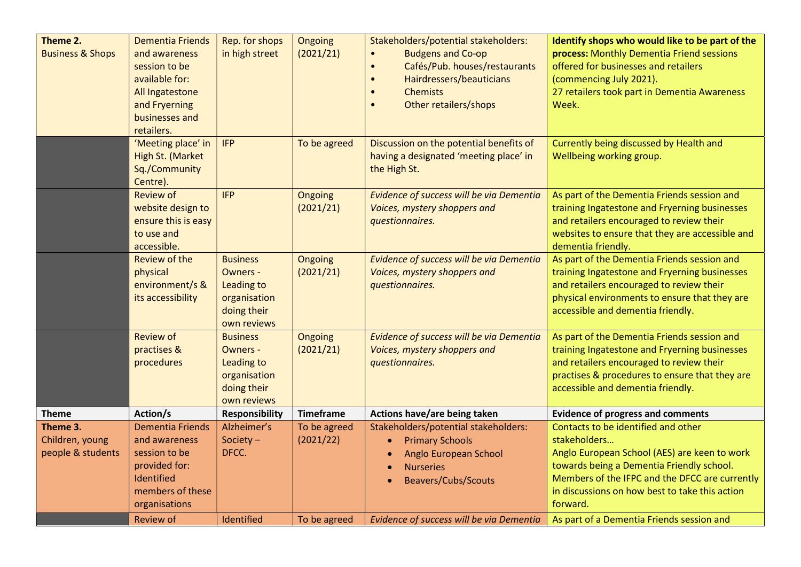| Theme 2.<br><b>Business &amp; Shops</b>          | <b>Dementia Friends</b><br>and awareness<br>session to be<br>available for:<br>All Ingatestone<br>and Fryerning<br>businesses and<br>retailers.<br>'Meeting place' in<br>High St. (Market | Rep. for shops<br>in high street<br><b>IFP</b>                                                 | Ongoing<br>(2021/21)<br>To be agreed | Stakeholders/potential stakeholders:<br><b>Budgens and Co-op</b><br>$\bullet$<br>Cafés/Pub. houses/restaurants<br>$\bullet$<br>Hairdressers/beauticians<br>$\bullet$<br><b>Chemists</b><br>$\bullet$<br>Other retailers/shops<br>$\bullet$<br>Discussion on the potential benefits of<br>having a designated 'meeting place' in | Identify shops who would like to be part of the<br>process: Monthly Dementia Friend sessions<br>offered for businesses and retailers<br>(commencing July 2021).<br>27 retailers took part in Dementia Awareness<br>Week.<br>Currently being discussed by Health and<br>Wellbeing working group. |
|--------------------------------------------------|-------------------------------------------------------------------------------------------------------------------------------------------------------------------------------------------|------------------------------------------------------------------------------------------------|--------------------------------------|---------------------------------------------------------------------------------------------------------------------------------------------------------------------------------------------------------------------------------------------------------------------------------------------------------------------------------|-------------------------------------------------------------------------------------------------------------------------------------------------------------------------------------------------------------------------------------------------------------------------------------------------|
|                                                  | Sq./Community<br>Centre).                                                                                                                                                                 |                                                                                                |                                      | the High St.                                                                                                                                                                                                                                                                                                                    |                                                                                                                                                                                                                                                                                                 |
|                                                  | <b>Review of</b><br>website design to<br>ensure this is easy<br>to use and<br>accessible.                                                                                                 | <b>IFP</b>                                                                                     | Ongoing<br>(2021/21)                 | Evidence of success will be via Dementia<br>Voices, mystery shoppers and<br>questionnaires.                                                                                                                                                                                                                                     | As part of the Dementia Friends session and<br>training Ingatestone and Fryerning businesses<br>and retailers encouraged to review their<br>websites to ensure that they are accessible and<br>dementia friendly.                                                                               |
|                                                  | <b>Review of the</b><br>physical<br>environment/s &<br>its accessibility                                                                                                                  | <b>Business</b><br>Owners -<br>Leading to<br>organisation<br>doing their<br>own reviews        | Ongoing<br>(2021/21)                 | Evidence of success will be via Dementia<br>Voices, mystery shoppers and<br>questionnaires.                                                                                                                                                                                                                                     | As part of the Dementia Friends session and<br>training Ingatestone and Fryerning businesses<br>and retailers encouraged to review their<br>physical environments to ensure that they are<br>accessible and dementia friendly.                                                                  |
|                                                  | <b>Review of</b><br>practises &<br>procedures                                                                                                                                             | <b>Business</b><br><b>Owners -</b><br>Leading to<br>organisation<br>doing their<br>own reviews | Ongoing<br>(2021/21)                 | Evidence of success will be via Dementia<br>Voices, mystery shoppers and<br>questionnaires.                                                                                                                                                                                                                                     | As part of the Dementia Friends session and<br>training Ingatestone and Fryerning businesses<br>and retailers encouraged to review their<br>practises & procedures to ensure that they are<br>accessible and dementia friendly.                                                                 |
| <b>Theme</b>                                     | Action/s                                                                                                                                                                                  | <b>Responsibility</b>                                                                          | <b>Timeframe</b>                     | Actions have/are being taken                                                                                                                                                                                                                                                                                                    | <b>Evidence of progress and comments</b>                                                                                                                                                                                                                                                        |
| Theme 3.<br>Children, young<br>people & students | <b>Dementia Friends</b><br>and awareness<br>session to be<br>provided for:<br>Identified<br>members of these<br>organisations                                                             | Alzheimer's<br>Society $-$<br>DFCC.                                                            | To be agreed<br>(2021/22)            | Stakeholders/potential stakeholders:<br><b>Primary Schools</b><br>$\bullet$<br>Anglo European School<br>$\bullet$<br><b>Nurseries</b><br>$\bullet$<br><b>Beavers/Cubs/Scouts</b>                                                                                                                                                | Contacts to be identified and other<br>stakeholders<br>Anglo European School (AES) are keen to work<br>towards being a Dementia Friendly school.<br>Members of the IFPC and the DFCC are currently<br>in discussions on how best to take this action<br>forward.                                |
|                                                  | <b>Review of</b>                                                                                                                                                                          | Identified                                                                                     | To be agreed                         | Evidence of success will be via Dementia                                                                                                                                                                                                                                                                                        | As part of a Dementia Friends session and                                                                                                                                                                                                                                                       |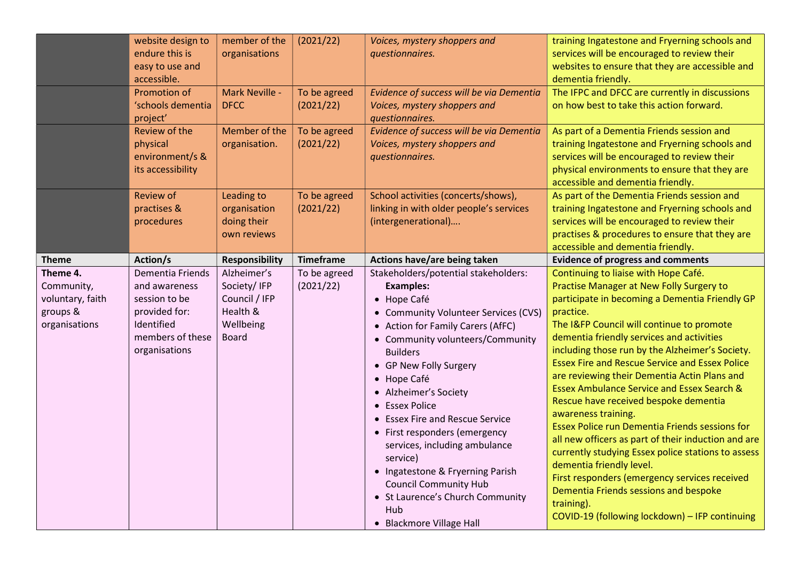|                                                                         | website design to<br>endure this is<br>easy to use and<br>accessible.<br><b>Promotion of</b><br>'schools dementia      | member of the<br>organisations<br>Mark Neville -<br><b>DFCC</b>                      | (2021/22)<br>To be agreed<br>(2021/22) | Voices, mystery shoppers and<br>questionnaires.<br>Evidence of success will be via Dementia<br>Voices, mystery shoppers and                                                                                                                                                                                                                                                                                                                                                                                                                                 | training Ingatestone and Fryerning schools and<br>services will be encouraged to review their<br>websites to ensure that they are accessible and<br>dementia friendly.<br>The IFPC and DFCC are currently in discussions<br>on how best to take this action forward.                                                                                                                                                                                                                                                                                                                                                                                                                                                                                                                                                                                                                       |
|-------------------------------------------------------------------------|------------------------------------------------------------------------------------------------------------------------|--------------------------------------------------------------------------------------|----------------------------------------|-------------------------------------------------------------------------------------------------------------------------------------------------------------------------------------------------------------------------------------------------------------------------------------------------------------------------------------------------------------------------------------------------------------------------------------------------------------------------------------------------------------------------------------------------------------|--------------------------------------------------------------------------------------------------------------------------------------------------------------------------------------------------------------------------------------------------------------------------------------------------------------------------------------------------------------------------------------------------------------------------------------------------------------------------------------------------------------------------------------------------------------------------------------------------------------------------------------------------------------------------------------------------------------------------------------------------------------------------------------------------------------------------------------------------------------------------------------------|
|                                                                         | project'<br>Review of the<br>physical<br>environment/s &<br>its accessibility                                          | Member of the<br>organisation.                                                       | To be agreed<br>(2021/22)              | questionnaires.<br>Evidence of success will be via Dementia<br>Voices, mystery shoppers and<br>questionnaires.                                                                                                                                                                                                                                                                                                                                                                                                                                              | As part of a Dementia Friends session and<br>training Ingatestone and Fryerning schools and<br>services will be encouraged to review their<br>physical environments to ensure that they are<br>accessible and dementia friendly.                                                                                                                                                                                                                                                                                                                                                                                                                                                                                                                                                                                                                                                           |
|                                                                         | <b>Review of</b><br>practises &<br>procedures                                                                          | Leading to<br>organisation<br>doing their<br>own reviews                             | To be agreed<br>(2021/22)              | School activities (concerts/shows),<br>linking in with older people's services<br>(intergenerational)                                                                                                                                                                                                                                                                                                                                                                                                                                                       | As part of the Dementia Friends session and<br>training Ingatestone and Fryerning schools and<br>services will be encouraged to review their<br>practises & procedures to ensure that they are<br>accessible and dementia friendly.                                                                                                                                                                                                                                                                                                                                                                                                                                                                                                                                                                                                                                                        |
| <b>Theme</b>                                                            | Action/s                                                                                                               | <b>Responsibility</b>                                                                | <b>Timeframe</b>                       | Actions have/are being taken                                                                                                                                                                                                                                                                                                                                                                                                                                                                                                                                | <b>Evidence of progress and comments</b>                                                                                                                                                                                                                                                                                                                                                                                                                                                                                                                                                                                                                                                                                                                                                                                                                                                   |
| Theme 4.<br>Community,<br>voluntary, faith<br>groups &<br>organisations | Dementia Friends<br>and awareness<br>session to be<br>provided for:<br>Identified<br>members of these<br>organisations | Alzheimer's<br>Society/IFP<br>Council / IFP<br>Health &<br>Wellbeing<br><b>Board</b> | To be agreed<br>(2021/22)              | Stakeholders/potential stakeholders:<br><b>Examples:</b><br>• Hope Café<br>• Community Volunteer Services (CVS)<br>• Action for Family Carers (AfFC)<br>• Community volunteers/Community<br><b>Builders</b><br>• GP New Folly Surgery<br>• Hope Café<br>• Alzheimer's Society<br>• Essex Police<br>• Essex Fire and Rescue Service<br>• First responders (emergency<br>services, including ambulance<br>service)<br>• Ingatestone & Fryerning Parish<br><b>Council Community Hub</b><br>• St Laurence's Church Community<br>Hub<br>• Blackmore Village Hall | Continuing to liaise with Hope Café.<br>Practise Manager at New Folly Surgery to<br>participate in becoming a Dementia Friendly GP<br>practice.<br>The I&FP Council will continue to promote<br>dementia friendly services and activities<br>including those run by the Alzheimer's Society.<br><b>Essex Fire and Rescue Service and Essex Police</b><br>are reviewing their Dementia Actin Plans and<br><b>Essex Ambulance Service and Essex Search &amp;</b><br>Rescue have received bespoke dementia<br>awareness training.<br><b>Essex Police run Dementia Friends sessions for</b><br>all new officers as part of their induction and are<br>currently studying Essex police stations to assess<br>dementia friendly level.<br>First responders (emergency services received<br>Dementia Friends sessions and bespoke<br>training).<br>COVID-19 (following lockdown) - IFP continuing |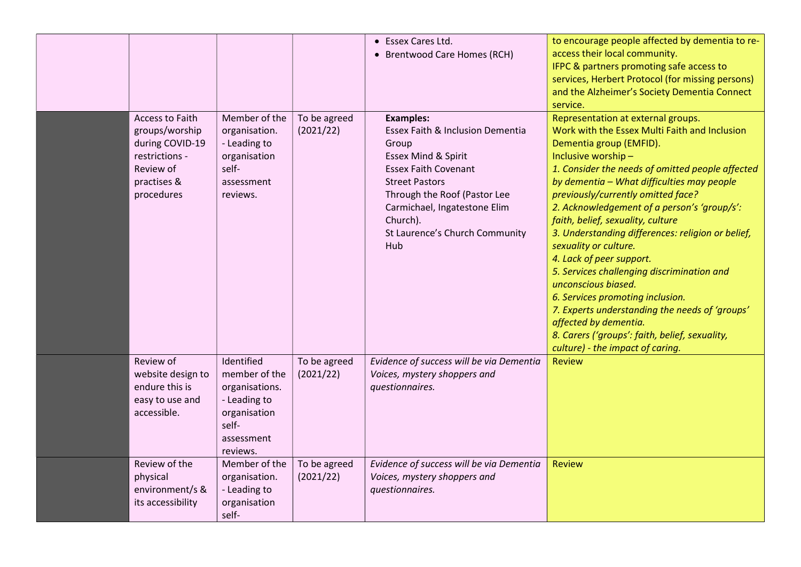|                                                                                                                  |                                                                                                                  |                           | • Essex Cares Ltd.<br>• Brentwood Care Homes (RCH)                                                                                                                                                                                                                | to encourage people affected by dementia to re-<br>access their local community.<br>IFPC & partners promoting safe access to<br>services, Herbert Protocol (for missing persons)<br>and the Alzheimer's Society Dementia Connect<br>service.                                                                                                                                                                                                                                                                                                                                                                                                                                                                                                         |
|------------------------------------------------------------------------------------------------------------------|------------------------------------------------------------------------------------------------------------------|---------------------------|-------------------------------------------------------------------------------------------------------------------------------------------------------------------------------------------------------------------------------------------------------------------|------------------------------------------------------------------------------------------------------------------------------------------------------------------------------------------------------------------------------------------------------------------------------------------------------------------------------------------------------------------------------------------------------------------------------------------------------------------------------------------------------------------------------------------------------------------------------------------------------------------------------------------------------------------------------------------------------------------------------------------------------|
| Access to Faith<br>groups/worship<br>during COVID-19<br>restrictions -<br>Review of<br>practises &<br>procedures | Member of the<br>organisation.<br>- Leading to<br>organisation<br>self-<br>assessment<br>reviews.                | To be agreed<br>(2021/22) | <b>Examples:</b><br>Essex Faith & Inclusion Dementia<br>Group<br>Essex Mind & Spirit<br><b>Essex Faith Covenant</b><br><b>Street Pastors</b><br>Through the Roof (Pastor Lee<br>Carmichael, Ingatestone Elim<br>Church).<br>St Laurence's Church Community<br>Hub | Representation at external groups.<br>Work with the Essex Multi Faith and Inclusion<br>Dementia group (EMFID).<br>Inclusive worship-<br>1. Consider the needs of omitted people affected<br>by dementia - What difficulties may people<br>previously/currently omitted face?<br>2. Acknowledgement of a person's 'group/s':<br>faith, belief, sexuality, culture<br>3. Understanding differences: religion or belief,<br>sexuality or culture.<br>4. Lack of peer support.<br>5. Services challenging discrimination and<br>unconscious biased.<br>6. Services promoting inclusion.<br>7. Experts understanding the needs of 'groups'<br>affected by dementia.<br>8. Carers ('groups': faith, belief, sexuality,<br>culture) - the impact of caring. |
| Review of<br>website design to<br>endure this is<br>easy to use and<br>accessible.                               | Identified<br>member of the<br>organisations.<br>- Leading to<br>organisation<br>self-<br>assessment<br>reviews. | To be agreed<br>(2021/22) | Evidence of success will be via Dementia<br>Voices, mystery shoppers and<br>questionnaires.                                                                                                                                                                       | <b>Review</b>                                                                                                                                                                                                                                                                                                                                                                                                                                                                                                                                                                                                                                                                                                                                        |
| Review of the<br>physical<br>environment/s &<br>its accessibility                                                | Member of the<br>organisation.<br>- Leading to<br>organisation<br>self-                                          | To be agreed<br>(2021/22) | Evidence of success will be via Dementia<br>Voices, mystery shoppers and<br>questionnaires.                                                                                                                                                                       | <b>Review</b>                                                                                                                                                                                                                                                                                                                                                                                                                                                                                                                                                                                                                                                                                                                                        |